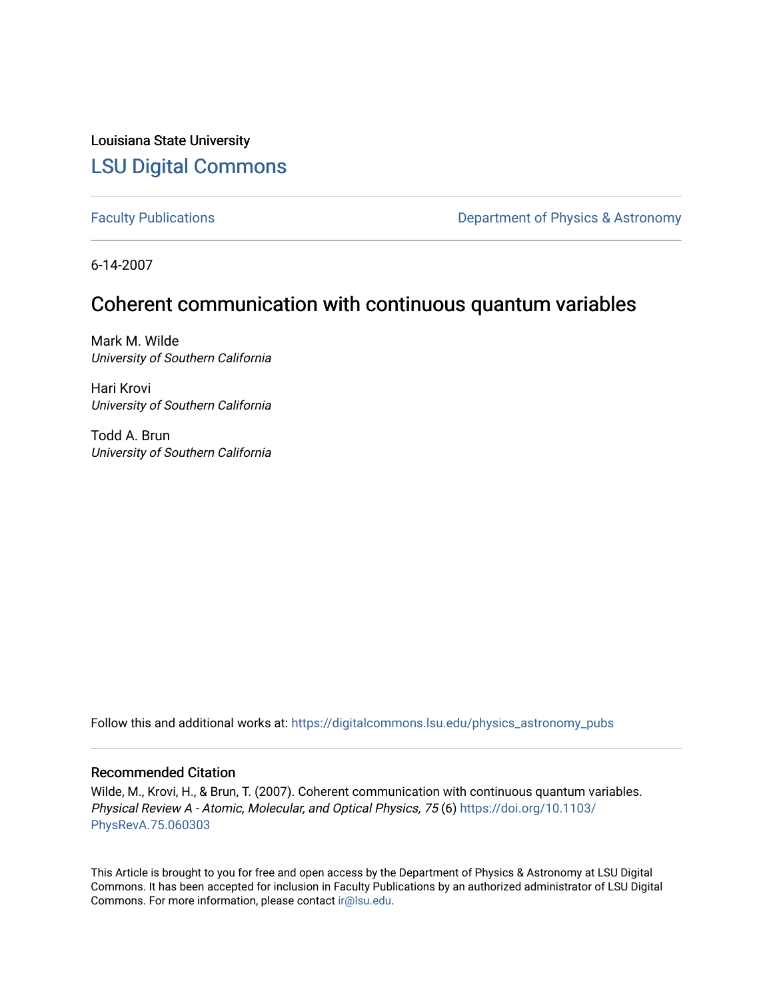Louisiana State University [LSU Digital Commons](https://digitalcommons.lsu.edu/)

[Faculty Publications](https://digitalcommons.lsu.edu/physics_astronomy_pubs) **Exercise 2 and Table 2 and Table 2 and Table 2 and Table 2 and Table 2 and Table 2 and Table 2 and Table 2 and Table 2 and Table 2 and Table 2 and Table 2 and Table 2 and Table 2 and Table 2 and Table** 

6-14-2007

## Coherent communication with continuous quantum variables

Mark M. Wilde University of Southern California

Hari Krovi University of Southern California

Todd A. Brun University of Southern California

Follow this and additional works at: [https://digitalcommons.lsu.edu/physics\\_astronomy\\_pubs](https://digitalcommons.lsu.edu/physics_astronomy_pubs?utm_source=digitalcommons.lsu.edu%2Fphysics_astronomy_pubs%2F5780&utm_medium=PDF&utm_campaign=PDFCoverPages) 

## Recommended Citation

Wilde, M., Krovi, H., & Brun, T. (2007). Coherent communication with continuous quantum variables. Physical Review A - Atomic, Molecular, and Optical Physics, 75 (6) [https://doi.org/10.1103/](https://doi.org/10.1103/PhysRevA.75.060303) [PhysRevA.75.060303](https://doi.org/10.1103/PhysRevA.75.060303) 

This Article is brought to you for free and open access by the Department of Physics & Astronomy at LSU Digital Commons. It has been accepted for inclusion in Faculty Publications by an authorized administrator of LSU Digital Commons. For more information, please contact [ir@lsu.edu](mailto:ir@lsu.edu).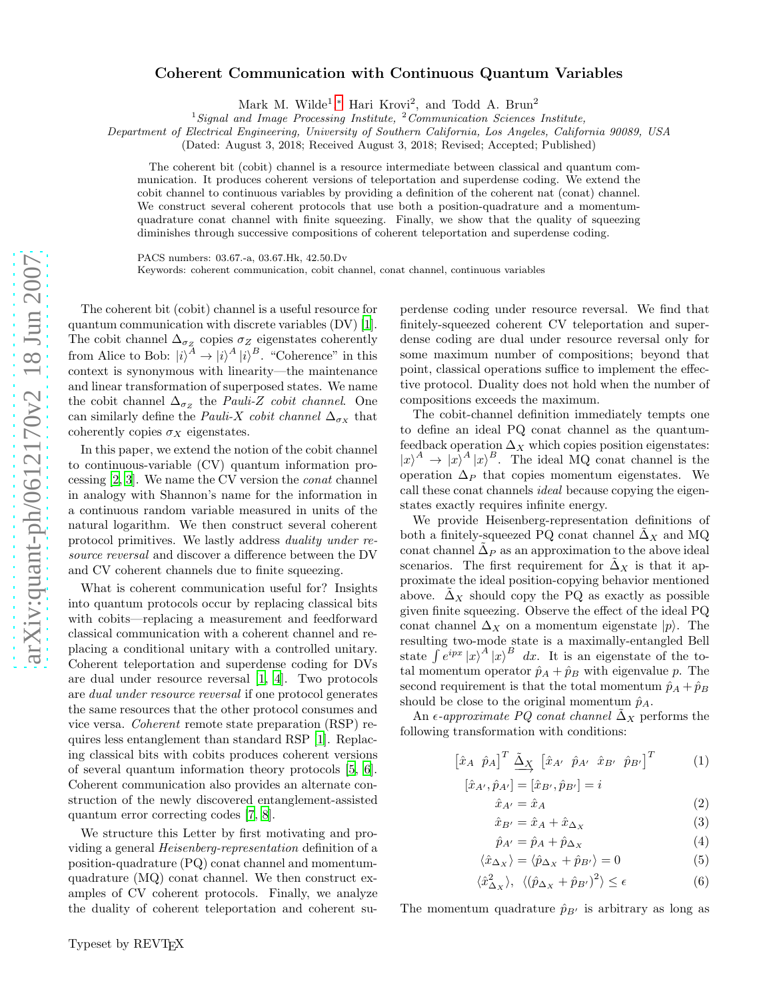## Coherent Communication with Continuous Quantum Variables

Mark M. Wilde<sup>1</sup>,\* Hari Krovi<sup>2</sup>, and Todd A. Brun<sup>2</sup>

<sup>1</sup>Signal and Image Processing Institute,  $^{2}$ Communication Sciences Institute,

Department of Electrical Engineering, University of Southern California, Los Angeles, California 90089, USA

(Dated: August 3, 2018; Received August 3, 2018; Revised; Accepted; Published)

The coherent bit (cobit) channel is a resource intermediate between classical and quantum communication. It produces coherent versions of teleportation and superdense coding. We extend the cobit channel to continuous variables by providing a definition of the coherent nat (conat) channel. We construct several coherent protocols that use both a position-quadrature and a momentumquadrature conat channel with finite squeezing. Finally, we show that the quality of squeezing diminishes through successive compositions of coherent teleportation and superdense coding.

PACS numbers: 03.67.-a, 03.67.Hk, 42.50.Dv

Keywords: coherent communication, cobit channel, conat channel, continuous variables

The coherent bit (cobit) channel is a useful resource for quantum communication with discrete variables (DV) [\[1\]](#page-4-1). The cobit channel  $\Delta_{\sigma_Z}$  copies  $\sigma_Z$  eigenstates coherently from Alice to Bob:  $|i\rangle^A \rightarrow |i\rangle^A |i\rangle^B$ . "Coherence" in this context is synonymous with linearity—the maintenance and linear transformation of superposed states. We name the cobit channel  $\Delta_{\sigma_Z}$  the *Pauli-Z cobit channel*. One can similarly define the *Pauli-X cobit channel*  $\Delta_{\sigma_X}$  that coherently copies  $\sigma_X$  eigenstates.

In this paper, we extend the notion of the cobit channel to continuous-variable (CV) quantum information processing [\[2](#page-4-2), [3\]](#page-4-3). We name the CV version the conat channel in analogy with Shannon's name for the information in a continuous random variable measured in units of the natural logarithm. We then construct several coherent protocol primitives. We lastly address duality under resource reversal and discover a difference between the DV and CV coherent channels due to finite squeezing.

What is coherent communication useful for? Insights into quantum protocols occur by replacing classical bits with cobits—replacing a measurement and feedforward classical communication with a coherent channel and replacing a conditional unitary with a controlled unitary. Coherent teleportation and superdense coding for DVs are dual under resource reversal [\[1,](#page-4-1) [4](#page-4-4)]. Two protocols are dual under resource reversal if one protocol generates the same resources that the other protocol consumes and vice versa. Coherent remote state preparation (RSP) requires less entanglement than standard RSP [\[1](#page-4-1)]. Replacing classical bits with cobits produces coherent versions of several quantum information theory protocols [\[5](#page-4-5), [6\]](#page-4-6). Coherent communication also provides an alternate construction of the newly discovered entanglement-assisted quantum error correcting codes [\[7,](#page-4-7) [8\]](#page-4-8).

We structure this Letter by first motivating and providing a general Heisenberg-representation definition of a position-quadrature (PQ) conat channel and momentumquadrature (MQ) conat channel. We then construct examples of CV coherent protocols. Finally, we analyze the duality of coherent teleportation and coherent su-

perdense coding under resource reversal. We find that finitely-squeezed coherent CV teleportation and superdense coding are dual under resource reversal only for some maximum number of compositions; beyond that point, classical operations suffice to implement the effective protocol. Duality does not hold when the number of compositions exceeds the maximum.

The cobit-channel definition immediately tempts one to define an ideal PQ conat channel as the quantumfeedback operation  $\Delta_X$  which copies position eigenstates:  $|x|^A \rightarrow |x|^A |x|^B$ . The ideal MQ conat channel is the operation  $\Delta_P$  that copies momentum eigenstates. We call these conat channels ideal because copying the eigenstates exactly requires infinite energy.

We provide Heisenberg-representation definitions of both a finitely-squeezed PQ conat channel  $\tilde{\Delta}_X$  and MQ conat channel  $\tilde{\Delta}_P$  as an approximation to the above ideal scenarios. The first requirement for  $\tilde{\Delta}_X$  is that it approximate the ideal position-copying behavior mentioned above.  $\tilde{\Delta}_X$  should copy the PQ as exactly as possible given finite squeezing. Observe the effect of the ideal PQ conat channel  $\Delta_X$  on a momentum eigenstate  $|p\rangle$ . The resulting two-mode state is a maximally-entangled Bell state  $\int e^{ipx} |x\rangle^A |x\rangle^B dx$ . It is an eigenstate of the total momentum operator  $\hat{p}_A + \hat{p}_B$  with eigenvalue p. The second requirement is that the total momentum  $\hat{p}_A + \hat{p}_B$ should be close to the original momentum  $\hat{p}_A$ .

An  $\epsilon$ -approximate PQ conat channel  $\tilde{\Delta}_X$  performs the following transformation with conditions:

$$
\begin{bmatrix} \hat{x}_A & \hat{p}_A \end{bmatrix}^T \stackrel{\tilde{\Delta}_X}{\longrightarrow} \begin{bmatrix} \hat{x}_{A'} & \hat{p}_{A'} & \hat{x}_{B'} & \hat{p}_{B'} \end{bmatrix}^T
$$
 (1)

$$
[\hat{x}_{A'}, \hat{p}_{A'}] = [\hat{x}_{B'}, \hat{p}_{B'}] = i
$$

$$
\hat{x}_{A'} = \hat{x}_A \tag{2}
$$

$$
\hat{x}_{B'} = \hat{x}_A + \hat{x}_{\Delta x} \tag{3}
$$

$$
\hat{p}_{A'} = \hat{p}_A + \hat{p}_{\Delta_X} \tag{4}
$$

$$
\langle \hat{x}_{\Delta x} \rangle = \langle \hat{p}_{\Delta x} + \hat{p}_{B'} \rangle = 0 \tag{5}
$$

$$
\langle \hat{x}^2_{\Delta x} \rangle, \ \langle (\hat{p}_{\Delta x} + \hat{p}_{B'})^2 \rangle \le \epsilon \tag{6}
$$

The momentum quadrature  $\hat{p}_{B'}$  is arbitrary as long as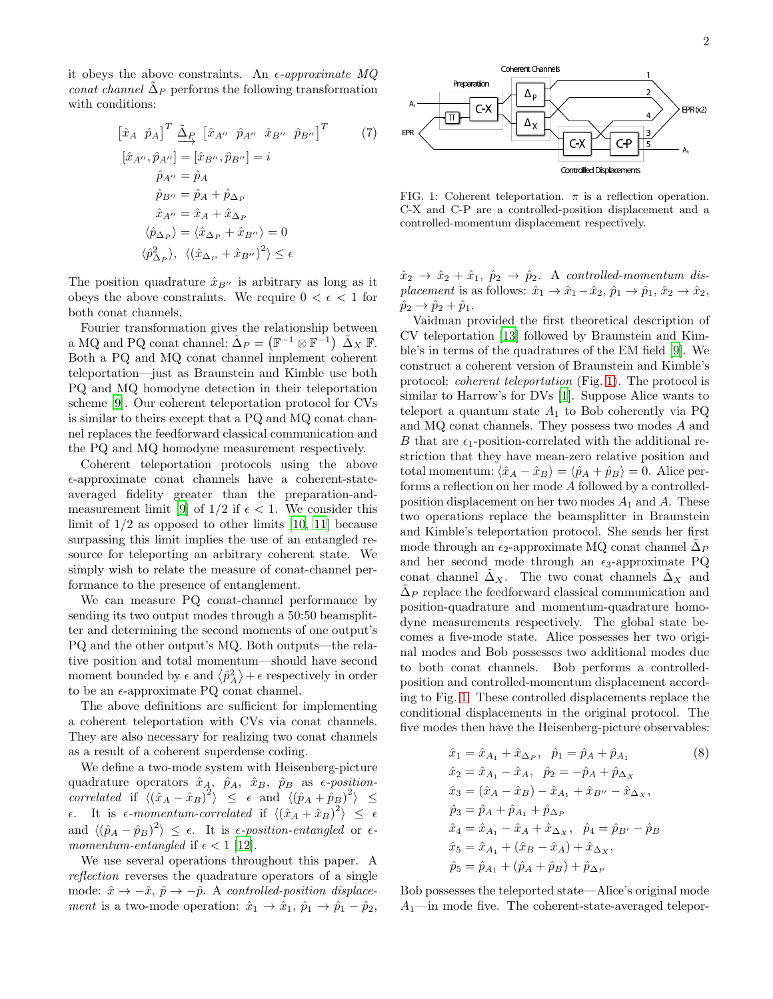it obeys the above constraints. An  $\epsilon$ -approximate MQ conat channel  $\tilde{\Delta}_P$  performs the following transformation with conditions:

$$
[\hat{x}_A \ \hat{p}_A]^T \underline{\tilde{\Delta}}_P [\hat{x}_{A''} \ \hat{p}_{A''} \ \hat{x}_{B''} \ \hat{p}_{B''}]^T
$$
(7)  

$$
[\hat{x}_{A''}, \hat{p}_{A''}] = [\hat{x}_{B''}, \hat{p}_{B''}] = i
$$
  

$$
\hat{p}_{A''} = \hat{p}_A
$$
  

$$
\hat{p}_{B''} = \hat{p}_A + \hat{p}_{\Delta_P}
$$
  

$$
\hat{x}_{A''} = \hat{x}_A + \hat{x}_{\Delta_P}
$$
  

$$
\langle \hat{p}_{\Delta_P} \rangle = \langle \hat{x}_{\Delta_P} + \hat{x}_{B''} \rangle = 0
$$
  

$$
\langle \hat{p}_{\Delta_P}^2 \rangle, \ \langle (\hat{x}_{\Delta_P} + \hat{x}_{B''})^2 \rangle \le \epsilon
$$

The position quadrature  $\hat{x}_{B}$ <sup>'</sup> is arbitrary as long as it obeys the above constraints. We require  $0 < \epsilon < 1$  for both conat channels.

Fourier transformation gives the relationship between a MQ and PQ conat channel:  $\tilde{\Delta}_P = (\mathbb{F}^{-1} \otimes \mathbb{F}^{-1}) \; \tilde{\Delta}_X \; \mathbb{F}$ . Both a PQ and MQ conat channel implement coherent teleportation—just as Braunstein and Kimble use both PQ and MQ homodyne detection in their teleportation scheme [\[9\]](#page-4-9). Our coherent teleportation protocol for CVs is similar to theirs except that a PQ and MQ conat channel replaces the feedforward classical communication and the PQ and MQ homodyne measurement respectively.

Coherent teleportation protocols using the above  $\epsilon$ -approximate conat channels have a coherent-stateaveraged fidelity greater than the preparation-and-measurement limit [\[9](#page-4-9)] of  $1/2$  if  $\epsilon < 1$ . We consider this limit of  $1/2$  as opposed to other limits  $[10, 11]$  $[10, 11]$  because surpassing this limit implies the use of an entangled resource for teleporting an arbitrary coherent state. We simply wish to relate the measure of conat-channel performance to the presence of entanglement.

We can measure PQ conat-channel performance by sending its two output modes through a 50:50 beamsplitter and determining the second moments of one output's PQ and the other output's MQ. Both outputs—the relative position and total momentum—should have second moment bounded by  $\epsilon$  and  $\langle \hat{p}_A^2 \rangle + \epsilon$  respectively in order to be an  $\epsilon$ -approximate PQ conat channel.

The above definitions are sufficient for implementing a coherent teleportation with CVs via conat channels. They are also necessary for realizing two conat channels as a result of a coherent superdense coding.

We define a two-mode system with Heisenberg-picture quadrature operators  $\hat{x}_A$ ,  $\hat{p}_A$ ,  $\hat{x}_B$ ,  $\hat{p}_B$  as  $\epsilon$ -positioncorrelated if  $\langle (\hat{x}_A - \hat{x}_B)^2 \rangle \leq \epsilon$  and  $\langle (\hat{p}_A + \hat{p}_B)^2 \rangle \leq$  $\epsilon$ . It is  $\epsilon$ -momentum-correlated if  $\langle (\hat{x}_A + \hat{x}_B)^2 \rangle \leq \epsilon$ and  $\langle (\hat{p}_A - \hat{p}_B)^2 \rangle \leq \epsilon$ . It is  $\epsilon$ -position-entangled or  $\epsilon$ momentum-entangled if  $\epsilon < 1$  [\[12](#page-4-12)].

We use several operations throughout this paper. A reflection reverses the quadrature operators of a single mode:  $\hat{x} \rightarrow -\hat{x}, \hat{p} \rightarrow -\hat{p}$ . A controlled-position displacement is a two-mode operation:  $\hat{x}_1 \rightarrow \hat{x}_1$ ,  $\hat{p}_1 \rightarrow \hat{p}_1 - \hat{p}_2$ ,



<span id="page-2-0"></span>FIG. 1: Coherent teleportation.  $\pi$  is a reflection operation. C-X and C-P are a controlled-position displacement and a controlled-momentum displacement respectively.

 $\hat{x}_2 \rightarrow \hat{x}_2 + \hat{x}_1, \hat{p}_2 \rightarrow \hat{p}_2.$  A controlled-momentum displacement is as follows:  $\hat{x}_1 \to \hat{x}_1 - \hat{x}_2$ ,  $\hat{p}_1 \to \hat{p}_1$ ,  $\hat{x}_2 \to \hat{x}_2$ ,  $\hat{p}_2 \rightarrow \hat{p}_2 + \hat{p}_1.$ 

Vaidman provided the first theoretical description of CV teleportation [\[13](#page-4-13)] followed by Braunstein and Kimble's in terms of the quadratures of the EM field [\[9](#page-4-9)]. We construct a coherent version of Braunstein and Kimble's protocol: coherent teleportation (Fig. [1\)](#page-2-0). The protocol is similar to Harrow's for DVs [\[1\]](#page-4-1). Suppose Alice wants to teleport a quantum state  $A_1$  to Bob coherently via PQ and MQ conat channels. They possess two modes A and B that are  $\epsilon_1$ -position-correlated with the additional restriction that they have mean-zero relative position and total momentum:  $\langle \hat{x}_A - \hat{x}_B \rangle = \langle \hat{p}_A + \hat{p}_B \rangle = 0$ . Alice performs a reflection on her mode A followed by a controlledposition displacement on her two modes  $A_1$  and A. These two operations replace the beamsplitter in Braunstein and Kimble's teleportation protocol. She sends her first mode through an  $\epsilon_2$ -approximate MQ conat channel  $\tilde{\Delta}_P$ and her second mode through an  $\epsilon_3$ -approximate PQ conat channel  $\Delta_X$ . The two conat channels  $\Delta_X$  and  $\tilde{\Delta}_P$  replace the feedforward classical communication and position-quadrature and momentum-quadrature homodyne measurements respectively. The global state becomes a five-mode state. Alice possesses her two original modes and Bob possesses two additional modes due to both conat channels. Bob performs a controlledposition and controlled-momentum displacement according to Fig. [1.](#page-2-0) These controlled displacements replace the conditional displacements in the original protocol. The five modes then have the Heisenberg-picture observables:

$$
\hat{x}_1 = \hat{x}_{A_1} + \hat{x}_{\Delta_P}, \quad \hat{p}_1 = \hat{p}_A + \hat{p}_{A_1} \tag{8}
$$
\n
$$
\hat{x}_2 = \hat{x}_{A_1} - \hat{x}_A, \quad \hat{p}_2 = -\hat{p}_A + \hat{p}_{\Delta_X}
$$
\n
$$
\hat{x}_3 = (\hat{x}_A - \hat{x}_B) - \hat{x}_{A_1} + \hat{x}_{B''} - \hat{x}_{\Delta_X}, \quad \hat{p}_3 = \hat{p}_A + \hat{p}_{A_1} + \hat{p}_{\Delta_P}
$$
\n
$$
\hat{x}_4 = \hat{x}_{A_1} - \hat{x}_A + \hat{x}_{\Delta_X}, \quad \hat{p}_4 = \hat{p}_{B'} - \hat{p}_B
$$
\n
$$
\hat{x}_5 = \hat{x}_{A_1} + (\hat{x}_B - \hat{x}_A) + \hat{x}_{\Delta_X}, \quad \hat{p}_5 = \hat{p}_{A_1} + (\hat{p}_A + \hat{p}_B) + \hat{p}_{\Delta_P}
$$

Bob possesses the teleported state—Alice's original mode  $A_1$ —in mode five. The coherent-state-averaged telepor-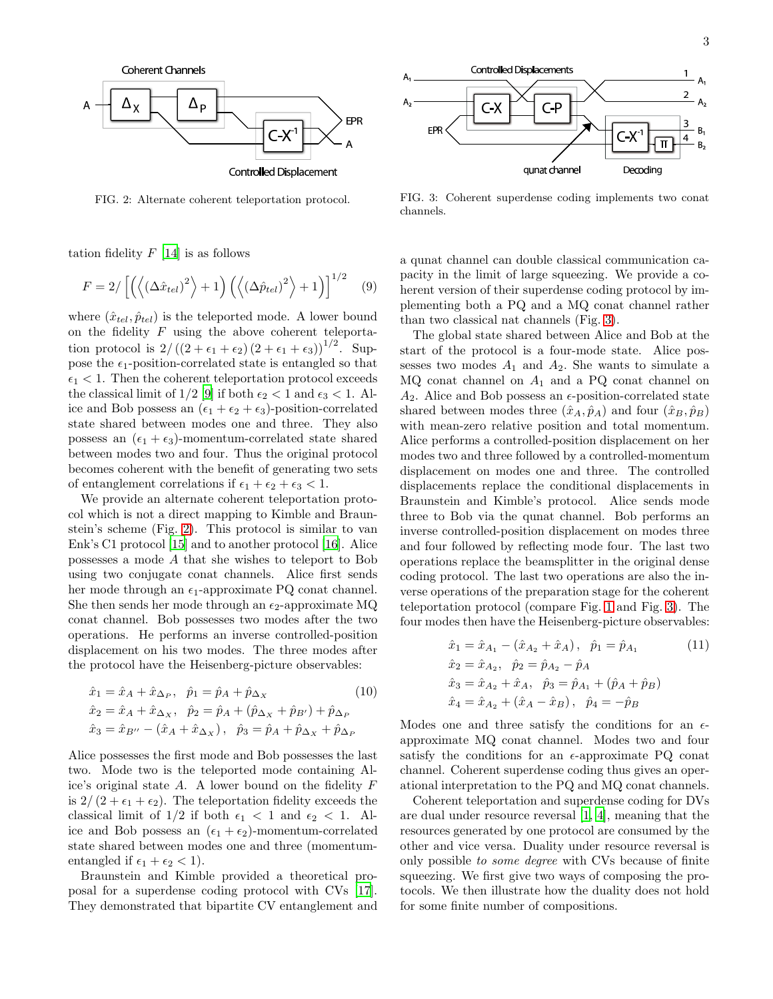

<span id="page-3-0"></span>FIG. 2: Alternate coherent teleportation protocol.

tation fidelity  $F$  [\[14\]](#page-4-14) is as follows

$$
F = 2/\left[\left(\left\langle \left(\Delta \hat{x}_{tel}\right)^2\right\rangle + 1\right)\left(\left\langle \left(\Delta \hat{p}_{tel}\right)^2\right\rangle + 1\right)\right]^{1/2} \quad (9)
$$

where  $(\hat{x}_{tel}, \hat{p}_{tel})$  is the teleported mode. A lower bound on the fidelity  $F$  using the above coherent teleportation protocol is  $2/((2+\epsilon_1+\epsilon_2)(2+\epsilon_1+\epsilon_3))^{1/2}$ . Suppose the  $\epsilon_1$ -position-correlated state is entangled so that  $\epsilon_1$  < 1. Then the coherent teleportation protocol exceeds the classical limit of 1/2 [\[9](#page-4-9)] if both  $\epsilon_2 < 1$  and  $\epsilon_3 < 1$ . Alice and Bob possess an  $(\epsilon_1 + \epsilon_2 + \epsilon_3)$ -position-correlated state shared between modes one and three. They also possess an  $(\epsilon_1 + \epsilon_3)$ -momentum-correlated state shared between modes two and four. Thus the original protocol becomes coherent with the benefit of generating two sets of entanglement correlations if  $\epsilon_1 + \epsilon_2 + \epsilon_3 < 1$ .

We provide an alternate coherent teleportation protocol which is not a direct mapping to Kimble and Braunstein's scheme (Fig. [2\)](#page-3-0). This protocol is similar to van Enk's C1 protocol [\[15](#page-4-15)] and to another protocol [\[16\]](#page-4-16). Alice possesses a mode A that she wishes to teleport to Bob using two conjugate conat channels. Alice first sends her mode through an  $\epsilon_1$ -approximate PQ conat channel. She then sends her mode through an  $\epsilon_2$ -approximate MQ conat channel. Bob possesses two modes after the two operations. He performs an inverse controlled-position displacement on his two modes. The three modes after the protocol have the Heisenberg-picture observables:

$$
\hat{x}_1 = \hat{x}_A + \hat{x}_{\Delta_P}, \quad \hat{p}_1 = \hat{p}_A + \hat{p}_{\Delta_X} \tag{10}
$$
\n
$$
\hat{x}_2 = \hat{x}_A + \hat{x}_{\Delta_X}, \quad \hat{p}_2 = \hat{p}_A + (\hat{p}_{\Delta_X} + \hat{p}_{B'}) + \hat{p}_{\Delta_P}
$$
\n
$$
\hat{x}_3 = \hat{x}_{B''} - (\hat{x}_A + \hat{x}_{\Delta_X}), \quad \hat{p}_3 = \hat{p}_A + \hat{p}_{\Delta_X} + \hat{p}_{\Delta_P}
$$

Alice possesses the first mode and Bob possesses the last two. Mode two is the teleported mode containing Alice's original state  $A$ . A lower bound on the fidelity  $F$ is  $2/(2 + \epsilon_1 + \epsilon_2)$ . The teleportation fidelity exceeds the classical limit of  $1/2$  if both  $\epsilon_1 < 1$  and  $\epsilon_2 < 1$ . Alice and Bob possess an  $(\epsilon_1 + \epsilon_2)$ -momentum-correlated state shared between modes one and three (momentumentangled if  $\epsilon_1 + \epsilon_2 < 1$ .

Braunstein and Kimble provided a theoretical proposal for a superdense coding protocol with CVs [\[17\]](#page-4-17). They demonstrated that bipartite CV entanglement and



<span id="page-3-1"></span>FIG. 3: Coherent superdense coding implements two conat channels.

a qunat channel can double classical communication capacity in the limit of large squeezing. We provide a coherent version of their superdense coding protocol by implementing both a PQ and a MQ conat channel rather than two classical nat channels (Fig. [3\)](#page-3-1).

The global state shared between Alice and Bob at the start of the protocol is a four-mode state. Alice possesses two modes  $A_1$  and  $A_2$ . She wants to simulate a  $MQ$  conat channel on  $A_1$  and a PQ conat channel on  $A_2$ . Alice and Bob possess an  $\epsilon$ -position-correlated state shared between modes three  $(\hat{x}_A, \hat{p}_A)$  and four  $(\hat{x}_B, \hat{p}_B)$ with mean-zero relative position and total momentum. Alice performs a controlled-position displacement on her modes two and three followed by a controlled-momentum displacement on modes one and three. The controlled displacements replace the conditional displacements in Braunstein and Kimble's protocol. Alice sends mode three to Bob via the qunat channel. Bob performs an inverse controlled-position displacement on modes three and four followed by reflecting mode four. The last two operations replace the beamsplitter in the original dense coding protocol. The last two operations are also the inverse operations of the preparation stage for the coherent teleportation protocol (compare Fig. [1](#page-2-0) and Fig. [3\)](#page-3-1). The four modes then have the Heisenberg-picture observables:

$$
\hat{x}_1 = \hat{x}_{A_1} - (\hat{x}_{A_2} + \hat{x}_A), \quad \hat{p}_1 = \hat{p}_{A_1}
$$
\n
$$
\hat{x}_2 = \hat{x}_{A_2}, \quad \hat{p}_2 = \hat{p}_{A_2} - \hat{p}_A
$$
\n
$$
\hat{x}_3 = \hat{x}_{A_2} + \hat{x}_A, \quad \hat{p}_3 = \hat{p}_{A_1} + (\hat{p}_A + \hat{p}_B)
$$
\n
$$
\hat{x}_4 = \hat{x}_{A_2} + (\hat{x}_A - \hat{x}_B), \quad \hat{p}_4 = -\hat{p}_B
$$
\n(11)

Modes one and three satisfy the conditions for an  $\epsilon$ approximate MQ conat channel. Modes two and four satisfy the conditions for an  $\epsilon$ -approximate PQ conat channel. Coherent superdense coding thus gives an operational interpretation to the PQ and MQ conat channels.

Coherent teleportation and superdense coding for DVs are dual under resource reversal [\[1](#page-4-1), [4](#page-4-4)], meaning that the resources generated by one protocol are consumed by the other and vice versa. Duality under resource reversal is only possible to some degree with CVs because of finite squeezing. We first give two ways of composing the protocols. We then illustrate how the duality does not hold for some finite number of compositions.